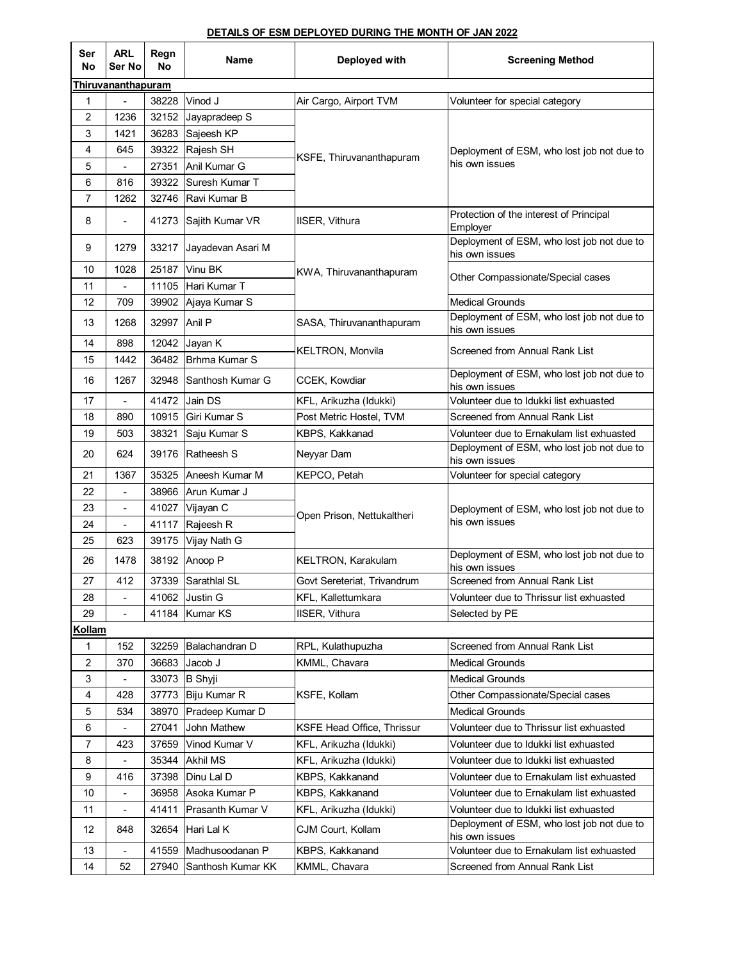## **DETAILS OF ESM DEPLOYED DURING THE MONTH OF JAN 2022**

| Ser<br>No          | <b>ARL</b><br>Ser No     | Regn<br>No | Name              | Deployed with                     | <b>Screening Method</b>                                      |  |  |  |
|--------------------|--------------------------|------------|-------------------|-----------------------------------|--------------------------------------------------------------|--|--|--|
| Thiruvananthapuram |                          |            |                   |                                   |                                                              |  |  |  |
| $\mathbf{1}$       |                          | 38228      | Vinod J           | Air Cargo, Airport TVM            | Volunteer for special category                               |  |  |  |
| $\overline{2}$     | 1236                     | 32152      | Jayapradeep S     |                                   | Deployment of ESM, who lost job not due to<br>his own issues |  |  |  |
| 3                  | 1421                     | 36283      | Sajeesh KP        |                                   |                                                              |  |  |  |
| 4                  | 645                      | 39322      | Rajesh SH         | KSFE, Thiruvananthapuram          |                                                              |  |  |  |
| 5                  |                          | 27351      | Anil Kumar G      |                                   |                                                              |  |  |  |
| 6                  | 816                      | 39322      | Suresh Kumar T    |                                   |                                                              |  |  |  |
| 7                  | 1262                     | 32746      | Ravi Kumar B      |                                   |                                                              |  |  |  |
| 8                  |                          | 41273      | Sajith Kumar VR   | IISER, Vithura                    | Protection of the interest of Principal<br>Employer          |  |  |  |
| 9                  | 1279                     | 33217      | Jayadevan Asari M | KWA, Thiruvananthapuram           | Deployment of ESM, who lost job not due to<br>his own issues |  |  |  |
| 10                 | 1028                     | 25187      | Vinu BK           |                                   | Other Compassionate/Special cases                            |  |  |  |
| 11                 |                          | 11105      | Hari Kumar T      |                                   |                                                              |  |  |  |
| 12                 | 709                      | 39902      | Ajaya Kumar S     |                                   | <b>Medical Grounds</b>                                       |  |  |  |
| 13                 | 1268                     | 32997      | Anil P            | SASA, Thiruvananthapuram          | Deployment of ESM, who lost job not due to<br>his own issues |  |  |  |
| 14                 | 898                      | 12042      | Jayan K           | <b>KELTRON, Monvila</b>           | Screened from Annual Rank List                               |  |  |  |
| 15                 | 1442                     | 36482      | Brhma Kumar S     |                                   |                                                              |  |  |  |
| 16                 | 1267                     | 32948      | Santhosh Kumar G  | CCEK, Kowdiar                     | Deployment of ESM, who lost job not due to<br>his own issues |  |  |  |
| 17                 |                          | 41472      | Jain DS           | KFL, Arikuzha (Idukki)            | Volunteer due to Idukki list exhuasted                       |  |  |  |
| 18                 | 890                      | 10915      | Giri Kumar S      | Post Metric Hostel, TVM           | Screened from Annual Rank List                               |  |  |  |
| 19                 | 503                      | 38321      | Saju Kumar S      | KBPS, Kakkanad                    | Volunteer due to Ernakulam list exhuasted                    |  |  |  |
| 20                 | 624                      | 39176      | Ratheesh S        | Neyyar Dam                        | Deployment of ESM, who lost job not due to<br>his own issues |  |  |  |
| 21                 | 1367                     | 35325      | Aneesh Kumar M    | KEPCO, Petah                      | Volunteer for special category                               |  |  |  |
| 22                 | $\blacksquare$           | 38966      | Arun Kumar J      |                                   | Deployment of ESM, who lost job not due to<br>his own issues |  |  |  |
| 23                 | $\overline{\phantom{a}}$ | 41027      | Vijayan C         | Open Prison, Nettukaltheri        |                                                              |  |  |  |
| 24                 | L.                       | 41117      | Rajeesh R         |                                   |                                                              |  |  |  |
| 25                 | 623                      | 39175      | Vijay Nath G      |                                   |                                                              |  |  |  |
| 26                 | 1478                     | 38192      | Anoop P           | KELTRON, Karakulam                | Deployment of ESM, who lost job not due to<br>his own issues |  |  |  |
| 27                 | 412                      | 37339      | Sarathlal SL      | Govt Sereteriat, Trivandrum       | Screened from Annual Rank List                               |  |  |  |
| 28                 | $\overline{\phantom{a}}$ | 41062      | <b>Justin G</b>   | KFL, Kallettumkara                | Volunteer due to Thrissur list exhuasted                     |  |  |  |
| 29                 |                          | 41184      | <b>Kumar KS</b>   | IISER, Vithura                    | Selected by PE                                               |  |  |  |
| Kollam             |                          |            |                   |                                   |                                                              |  |  |  |
| 1                  | 152                      | 32259      | Balachandran D    | RPL, Kulathupuzha                 | Screened from Annual Rank List                               |  |  |  |
| $\overline{c}$     | 370                      | 36683      | Jacob J           | KMML, Chavara                     | <b>Medical Grounds</b>                                       |  |  |  |
| 3                  |                          | 33073      | <b>B</b> Shyji    |                                   | <b>Medical Grounds</b>                                       |  |  |  |
| 4                  | 428                      | 37773      | Biju Kumar R      | KSFE, Kollam                      | Other Compassionate/Special cases                            |  |  |  |
| 5                  | 534                      | 38970      | Pradeep Kumar D   |                                   | <b>Medical Grounds</b>                                       |  |  |  |
| 6                  |                          | 27041      | John Mathew       | <b>KSFE Head Office, Thrissur</b> | Volunteer due to Thrissur list exhuasted                     |  |  |  |
| $\overline{7}$     | 423                      | 37659      | Vinod Kumar V     | KFL, Arikuzha (Idukki)            | Volunteer due to Idukki list exhuasted                       |  |  |  |
| 8                  |                          | 35344      | <b>Akhil MS</b>   | KFL, Arikuzha (Idukki)            | Volunteer due to Idukki list exhuasted                       |  |  |  |
| 9                  | 416                      | 37398      | Dinu Lal D        | KBPS, Kakkanand                   | Volunteer due to Ernakulam list exhuasted                    |  |  |  |
| 10                 | $\blacksquare$           | 36958      | Asoka Kumar P     | KBPS, Kakkanand                   | Volunteer due to Ernakulam list exhuasted                    |  |  |  |
| 11                 |                          | 41411      | Prasanth Kumar V  | KFL, Arikuzha (Idukki)            | Volunteer due to Idukki list exhuasted                       |  |  |  |
| 12                 | 848                      | 32654      | Hari Lal K        | CJM Court, Kollam                 | Deployment of ESM, who lost job not due to<br>his own issues |  |  |  |
| 13                 |                          | 41559      | Madhusoodanan P   | KBPS, Kakkanand                   | Volunteer due to Ernakulam list exhuasted                    |  |  |  |
| 14                 | 52                       | 27940      | Santhosh Kumar KK | KMML, Chavara                     | Screened from Annual Rank List                               |  |  |  |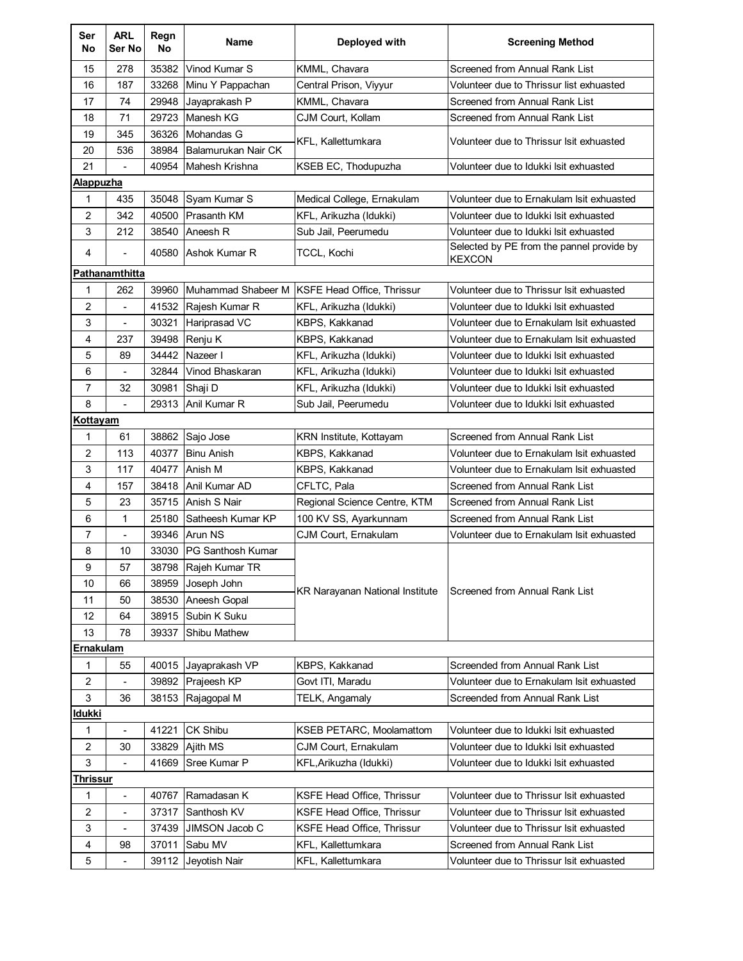| Ser<br>No        | <b>ARL</b><br>Ser No                                  | Regn<br>No | <b>Name</b>              | Deployed with                          | <b>Screening Method</b>                                    |  |  |  |
|------------------|-------------------------------------------------------|------------|--------------------------|----------------------------------------|------------------------------------------------------------|--|--|--|
| 15               | 278                                                   | 35382      | Vinod Kumar S            | KMML, Chavara                          | Screened from Annual Rank List                             |  |  |  |
| 16               | 187                                                   | 33268      | Minu Y Pappachan         | Central Prison, Viyyur                 | Volunteer due to Thrissur list exhuasted                   |  |  |  |
| 17               | 74                                                    | 29948      | Jayaprakash P            | KMML, Chavara                          | Screened from Annual Rank List                             |  |  |  |
| 18               | 71                                                    | 29723      | Manesh KG                | CJM Court. Kollam                      | Screened from Annual Rank List                             |  |  |  |
| 19               | 345                                                   | 36326      | Mohandas G               | KFL, Kallettumkara                     | Volunteer due to Thrissur Isit exhuasted                   |  |  |  |
| 20               | 536                                                   | 38984      | Balamurukan Nair CK      |                                        |                                                            |  |  |  |
| 21               |                                                       | 40954      | Mahesh Krishna           | KSEB EC, Thodupuzha                    | Volunteer due to Idukki Isit exhuasted                     |  |  |  |
| <b>Alappuzha</b> |                                                       |            |                          |                                        |                                                            |  |  |  |
| 1                | 435                                                   | 35048      | Syam Kumar S             | Medical College, Ernakulam             | Volunteer due to Ernakulam Isit exhuasted                  |  |  |  |
| 2                | 342                                                   | 40500      | <b>Prasanth KM</b>       | KFL, Arikuzha (Idukki)                 | Volunteer due to Idukki Isit exhuasted                     |  |  |  |
| 3                | 212                                                   | 38540      | Aneesh R                 | Sub Jail, Peerumedu                    | Volunteer due to Idukki Isit exhuasted                     |  |  |  |
| 4                |                                                       | 40580      | Ashok Kumar R            | TCCL, Kochi                            | Selected by PE from the pannel provide by<br><b>KEXCON</b> |  |  |  |
|                  | Pathanamthitta                                        |            |                          |                                        |                                                            |  |  |  |
| 1                | 262                                                   | 39960      | Muhammad Shabeer M       | KSFE Head Office, Thrissur             | Volunteer due to Thrissur Isit exhuasted                   |  |  |  |
| 2                |                                                       | 41532      | Rajesh Kumar R           | KFL, Arikuzha (Idukki)                 | Volunteer due to Idukki Isit exhuasted                     |  |  |  |
| 3                | $\overline{\phantom{a}}$                              | 30321      | Hariprasad VC            | KBPS, Kakkanad                         | Volunteer due to Ernakulam Isit exhuasted                  |  |  |  |
| 4                | 237                                                   | 39498      | Renju K                  | KBPS, Kakkanad                         | Volunteer due to Ernakulam Isit exhuasted                  |  |  |  |
| 5                | 89                                                    | 34442      | Nazeer I                 | KFL, Arikuzha (Idukki)                 | Volunteer due to Idukki Isit exhuasted                     |  |  |  |
| 6                |                                                       | 32844      | Vinod Bhaskaran          | KFL, Arikuzha (Idukki)                 | Volunteer due to Idukki Isit exhuasted                     |  |  |  |
| $\overline{7}$   | 32                                                    | 30981      | Shaji D                  | KFL, Arikuzha (Idukki)                 | Volunteer due to Idukki Isit exhuasted                     |  |  |  |
| 8                | $\sim$                                                | 29313      | Anil Kumar R             | Sub Jail, Peerumedu                    | Volunteer due to Idukki Isit exhuasted                     |  |  |  |
| Kottayam         |                                                       |            |                          |                                        |                                                            |  |  |  |
| 1                | 61                                                    | 38862      | Sajo Jose                | KRN Institute, Kottayam                | Screened from Annual Rank List                             |  |  |  |
| 2                | 113                                                   | 40377      | <b>Binu Anish</b>        | KBPS, Kakkanad                         | Volunteer due to Ernakulam Isit exhuasted                  |  |  |  |
| 3                | 117                                                   | 40477      | Anish M                  | KBPS, Kakkanad                         | Volunteer due to Ernakulam Isit exhuasted                  |  |  |  |
| 4                | 157                                                   | 38418      | Anil Kumar AD            | CFLTC, Pala                            | <b>Screened from Annual Rank List</b>                      |  |  |  |
| 5                | 23                                                    | 35715      | Anish S Nair             | Regional Science Centre, KTM           | Screened from Annual Rank List                             |  |  |  |
| 6                | 1                                                     | 25180      | Satheesh Kumar KP        | 100 KV SS, Ayarkunnam                  | <b>Screened from Annual Rank List</b>                      |  |  |  |
| 7                | ä,                                                    | 39346      | <b>Arun NS</b>           | CJM Court, Ernakulam                   | Volunteer due to Ernakulam Isit exhuasted                  |  |  |  |
| 8                | 10                                                    | 33030      | <b>PG Santhosh Kumar</b> |                                        | Screened from Annual Rank List                             |  |  |  |
| 9                | 57                                                    | 38798      | Rajeh Kumar TR           |                                        |                                                            |  |  |  |
| 10               | 66                                                    | 38959      | Joseph John              | <b>KR Narayanan National Institute</b> |                                                            |  |  |  |
| 11               | 50                                                    | 38530      | Aneesh Gopal             |                                        |                                                            |  |  |  |
| 12               | 64                                                    | 38915      | Subin K Suku             |                                        |                                                            |  |  |  |
|                  | 13<br>78<br>39337<br><b>Shibu Mathew</b><br>Ernakulam |            |                          |                                        |                                                            |  |  |  |
|                  |                                                       | 40015      | Jayaprakash VP           |                                        | Screended from Annual Rank List                            |  |  |  |
| 1                | 55                                                    | 39892      |                          | KBPS, Kakkanad<br>Govt ITI, Maradu     | Volunteer due to Ernakulam Isit exhuasted                  |  |  |  |
| 2<br>3           | 36                                                    | 38153      | Prajeesh KP              | TELK, Angamaly                         | Screended from Annual Rank List                            |  |  |  |
| ldukki           |                                                       |            | Rajagopal M              |                                        |                                                            |  |  |  |
| 1                | $\blacksquare$                                        | 41221      | <b>CK Shibu</b>          | <b>KSEB PETARC, Moolamattom</b>        | Volunteer due to Idukki Isit exhuasted                     |  |  |  |
| $\boldsymbol{2}$ | 30                                                    | 33829      | Ajith MS                 | CJM Court, Ernakulam                   | Volunteer due to Idukki Isit exhuasted                     |  |  |  |
| 3                | $\blacksquare$                                        | 41669      | Sree Kumar P             | KFL, Arikuzha (Idukki)                 | Volunteer due to Idukki Isit exhuasted                     |  |  |  |
| Thrissur         |                                                       |            |                          |                                        |                                                            |  |  |  |
| 1                | $\blacksquare$                                        | 40767      | Ramadasan K              | <b>KSFE Head Office, Thrissur</b>      | Volunteer due to Thrissur Isit exhuasted                   |  |  |  |
| 2                | $\blacksquare$                                        | 37317      | Santhosh KV              | KSFE Head Office, Thrissur             | Volunteer due to Thrissur Isit exhuasted                   |  |  |  |
| 3                | $\overline{\phantom{a}}$                              | 37439      | JIMSON Jacob C           | KSFE Head Office, Thrissur             | Volunteer due to Thrissur Isit exhuasted                   |  |  |  |
| 4                | 98                                                    | 37011      | Sabu MV                  | KFL, Kallettumkara                     | Screened from Annual Rank List                             |  |  |  |
| 5                |                                                       |            |                          |                                        |                                                            |  |  |  |
|                  | $\overline{\phantom{a}}$                              | 39112      | Jeyotish Nair            | KFL, Kallettumkara                     | Volunteer due to Thrissur Isit exhuasted                   |  |  |  |